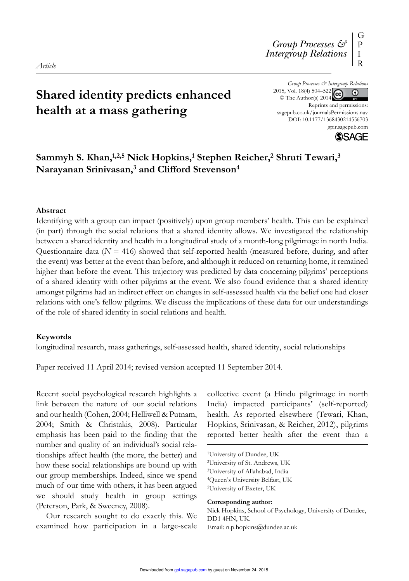# **Shared identity predicts enhanced health at a mass gathering**

*Group Processes & Intergroup Relations* 2015, Vol. 18(4) 504 –522  $\odot$ © The Author(s) 2014 Reprints and permissions: sagepub.co.uk/journalsPermissions.nav DOI: 10.1177/1368430214556703 gpir.sagepub.com



# **Sammyh S. Khan,1,2,5 Nick Hopkins,<sup>1</sup> Stephen Reicher,<sup>2</sup> Shruti Tewari,<sup>3</sup> Narayanan Srinivasan,<sup>3</sup> and Clifford Stevenson<sup>4</sup>**

#### **Abstract**

Identifying with a group can impact (positively) upon group members' health. This can be explained (in part) through the social relations that a shared identity allows. We investigated the relationship between a shared identity and health in a longitudinal study of a month-long pilgrimage in north India. Questionnaire data (*N* = 416) showed that self-reported health (measured before, during, and after the event) was better at the event than before, and although it reduced on returning home, it remained higher than before the event. This trajectory was predicted by data concerning pilgrims' perceptions of a shared identity with other pilgrims at the event. We also found evidence that a shared identity amongst pilgrims had an indirect effect on changes in self-assessed health via the belief one had closer relations with one's fellow pilgrims. We discuss the implications of these data for our understandings of the role of shared identity in social relations and health.

#### **Keywords**

longitudinal research, mass gatherings, self-assessed health, shared identity, social relationships

Paper received 11 April 2014; revised version accepted 11 September 2014.

Recent social psychological research highlights a link between the nature of our social relations and our health (Cohen, 2004; Helliwell & Putnam, 2004; Smith & Christakis, 2008). Particular emphasis has been paid to the finding that the number and quality of an individual's social relationships affect health (the more, the better) and how these social relationships are bound up with our group memberships. Indeed, since we spend much of our time with others, it has been argued we should study health in group settings (Peterson, Park, & Sweeney, 2008).

Our research sought to do exactly this. We examined how participation in a large-scale collective event (a Hindu pilgrimage in north India) impacted participants' (self-reported) health. As reported elsewhere (Tewari, Khan, Hopkins, Srinivasan, & Reicher, 2012), pilgrims reported better health after the event than a

<sup>1</sup>University of Dundee, UK <sup>2</sup>University of St. Andrews, UK

<sup>3</sup>University of Allahabad, India

<sup>4</sup>Queen's University Belfast, UK

<sup>5</sup>University of Exeter, UK

#### **Corresponding author:**

Nick Hopkins, School of Psychology, University of Dundee, DD1 4HN, UK. Email: n.p.hopkins@dundee.ac.uk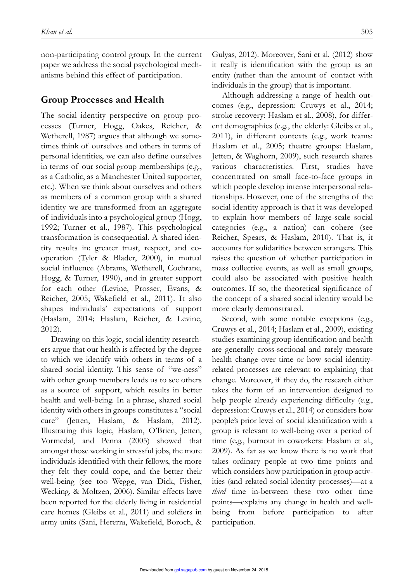non-participating control group. In the current paper we address the social psychological mechanisms behind this effect of participation.

## **Group Processes and Health**

The social identity perspective on group processes (Turner, Hogg, Oakes, Reicher, & Wetherell, 1987) argues that although we sometimes think of ourselves and others in terms of personal identities, we can also define ourselves in terms of our social group memberships (e.g., as a Catholic, as a Manchester United supporter, etc.). When we think about ourselves and others as members of a common group with a shared identity we are transformed from an aggregate of individuals into a psychological group (Hogg, 1992; Turner et al., 1987). This psychological transformation is consequential. A shared identity results in: greater trust, respect, and cooperation (Tyler & Blader, 2000), in mutual social influence (Abrams, Wetherell, Cochrane, Hogg, & Turner, 1990), and in greater support for each other (Levine, Prosser, Evans, & Reicher, 2005; Wakefield et al., 2011). It also shapes individuals' expectations of support (Haslam, 2014; Haslam, Reicher, & Levine, 2012).

Drawing on this logic, social identity researchers argue that our health is affected by the degree to which we identify with others in terms of a shared social identity. This sense of "we-ness" with other group members leads us to see others as a source of support, which results in better health and well-being. In a phrase, shared social identity with others in groups constitutes a "social cure" (Jetten, Haslam, & Haslam, 2012). Illustrating this logic, Haslam, O'Brien, Jetten, Vormedal, and Penna (2005) showed that amongst those working in stressful jobs, the more individuals identified with their fellows, the more they felt they could cope, and the better their well-being (see too Wegge, van Dick, Fisher, Wecking, & Moltzen, 2006). Similar effects have been reported for the elderly living in residential care homes (Gleibs et al., 2011) and soldiers in army units (Sani, Hererra, Wakefield, Boroch, &

Gulyas, 2012). Moreover, Sani et al. (2012) show it really is identification with the group as an entity (rather than the amount of contact with individuals in the group) that is important.

Although addressing a range of health outcomes (e.g., depression: Cruwys et al., 2014; stroke recovery: Haslam et al., 2008), for different demographics (e.g., the elderly: Gleibs et al., 2011), in different contexts (e.g., work teams: Haslam et al., 2005; theatre groups: Haslam, Jetten, & Waghorn, 2009), such research shares various characteristics. First, studies have concentrated on small face-to-face groups in which people develop intense interpersonal relationships. However, one of the strengths of the social identity approach is that it was developed to explain how members of large-scale social categories (e.g., a nation) can cohere (see Reicher, Spears, & Haslam, 2010). That is, it accounts for solidarities between strangers. This raises the question of whether participation in mass collective events, as well as small groups, could also be associated with positive health outcomes. If so, the theoretical significance of the concept of a shared social identity would be more clearly demonstrated.

Second, with some notable exceptions (e.g., Cruwys et al., 2014; Haslam et al., 2009), existing studies examining group identification and health are generally cross-sectional and rarely measure health change over time or how social identityrelated processes are relevant to explaining that change. Moreover, if they do, the research either takes the form of an intervention designed to help people already experiencing difficulty (e.g., depression: Cruwys et al., 2014) or considers how people's prior level of social identification with a group is relevant to well-being over a period of time (e.g., burnout in coworkers: Haslam et al., 2009). As far as we know there is no work that takes ordinary people at two time points and which considers how participation in group activities (and related social identity processes)—at a *third* time in-between these two other time points—explains any change in health and wellbeing from before participation to after participation.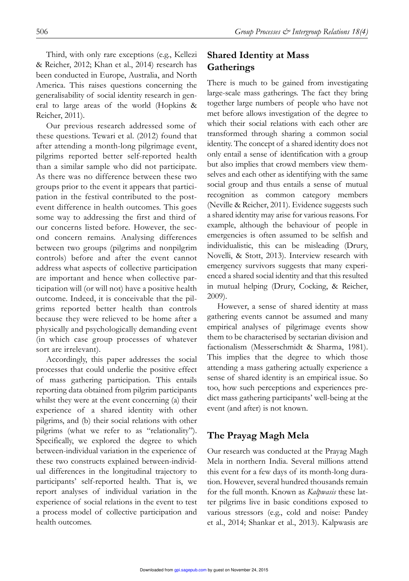Third, with only rare exceptions (e.g., Kellezi & Reicher, 2012; Khan et al., 2014) research has been conducted in Europe, Australia, and North America. This raises questions concerning the generalisability of social identity research in general to large areas of the world (Hopkins & Reicher, 2011).

Our previous research addressed some of these questions. Tewari et al. (2012) found that after attending a month-long pilgrimage event, pilgrims reported better self-reported health than a similar sample who did not participate. As there was no difference between these two groups prior to the event it appears that participation in the festival contributed to the postevent difference in health outcomes. This goes some way to addressing the first and third of our concerns listed before. However, the second concern remains. Analysing differences between two groups (pilgrims and nonpilgrim controls) before and after the event cannot address what aspects of collective participation are important and hence when collective participation will (or will not) have a positive health outcome. Indeed, it is conceivable that the pilgrims reported better health than controls because they were relieved to be home after a physically and psychologically demanding event (in which case group processes of whatever sort are irrelevant).

Accordingly, this paper addresses the social processes that could underlie the positive effect of mass gathering participation. This entails reporting data obtained from pilgrim participants whilst they were at the event concerning (a) their experience of a shared identity with other pilgrims, and (b) their social relations with other pilgrims (what we refer to as "relationality"). Specifically, we explored the degree to which between-individual variation in the experience of these two constructs explained between-individual differences in the longitudinal trajectory to participants' self-reported health. That is, we report analyses of individual variation in the experience of social relations in the event to test a process model of collective participation and health outcomes.

# **Shared Identity at Mass Gatherings**

There is much to be gained from investigating large-scale mass gatherings. The fact they bring together large numbers of people who have not met before allows investigation of the degree to which their social relations with each other are transformed through sharing a common social identity. The concept of a shared identity does not only entail a sense of identification with a group but also implies that crowd members view themselves and each other as identifying with the same social group and thus entails a sense of mutual recognition as common category members (Neville & Reicher, 2011). Evidence suggests such a shared identity may arise for various reasons. For example, although the behaviour of people in emergencies is often assumed to be selfish and individualistic, this can be misleading (Drury, Novelli, & Stott, 2013). Interview research with emergency survivors suggests that many experienced a shared social identity and that this resulted in mutual helping (Drury, Cocking, & Reicher, 2009).

However, a sense of shared identity at mass gathering events cannot be assumed and many empirical analyses of pilgrimage events show them to be characterised by sectarian division and factionalism (Messerschmidt & Sharma, 1981). This implies that the degree to which those attending a mass gathering actually experience a sense of shared identity is an empirical issue. So too, how such perceptions and experiences predict mass gathering participants' well-being at the event (and after) is not known.

# **The Prayag Magh Mela**

Our research was conducted at the Prayag Magh Mela in northern India. Several millions attend this event for a few days of its month-long duration. However, several hundred thousands remain for the full month. Known as *Kalpwasis* these latter pilgrims live in basic conditions exposed to various stressors (e.g., cold and noise: Pandey et al., 2014; Shankar et al., 2013). Kalpwasis are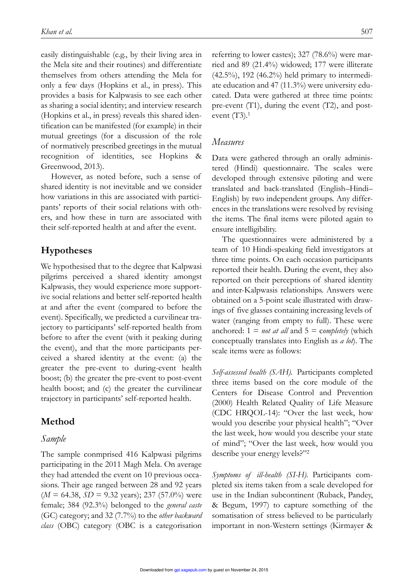easily distinguishable (e.g., by their living area in the Mela site and their routines) and differentiate themselves from others attending the Mela for only a few days (Hopkins et al., in press). This provides a basis for Kalpwasis to see each other as sharing a social identity; and interview research (Hopkins et al., in press) reveals this shared identification can be manifested (for example) in their mutual greetings (for a discussion of the role of normatively prescribed greetings in the mutual recognition of identities, see Hopkins & Greenwood, 2013).

However, as noted before, such a sense of shared identity is not inevitable and we consider how variations in this are associated with participants' reports of their social relations with others, and how these in turn are associated with their self-reported health at and after the event.

## **Hypotheses**

We hypothesised that to the degree that Kalpwasi pilgrims perceived a shared identity amongst Kalpwasis, they would experience more supportive social relations and better self-reported health at and after the event (compared to before the event). Specifically, we predicted a curvilinear trajectory to participants' self-reported health from before to after the event (with it peaking during the event), and that the more participants perceived a shared identity at the event: (a) the greater the pre-event to during-event health boost; (b) the greater the pre-event to post-event health boost; and (c) the greater the curvilinear trajectory in participants' self-reported health.

# **Method**

## *Sample*

The sample conmprised 416 Kalpwasi pilgrims participating in the 2011 Magh Mela. On average they had attended the event on 10 previous occasions. Their age ranged between 28 and 92 years  $(M = 64.38, SD = 9.32 \text{ years})$ ; 237 (57.0%) were female; 384 (92.3%) belonged to the *general caste* (GC) category; and 32 (7.7%) to the *other backward class* (OBC) category (OBC is a categorisation

referring to lower castes); 327 (78.6%) were married and 89 (21.4%) widowed; 177 were illiterate (42.5%), 192 (46.2%) held primary to intermediate education and 47 (11.3%) were university educated. Data were gathered at three time points: pre-event (T1), during the event (T2), and postevent  $(T3).1$ 

## *Measures*

Data were gathered through an orally administered (Hindi) questionnaire. The scales were developed through extensive piloting and were translated and back-translated (English–Hindi– English) by two independent groups. Any differences in the translations were resolved by revising the items. The final items were piloted again to ensure intelligibility.

The questionnaires were administered by a team of 10 Hindi-speaking field investigators at three time points. On each occasion participants reported their health. During the event, they also reported on their perceptions of shared identity and inter-Kalpwasis relationships. Answers were obtained on a 5-point scale illustrated with drawings of five glasses containing increasing levels of water (ranging from empty to full). These were anchored:  $1 = not at all$  and  $5 = completely$  (which conceptually translates into English as *a lot*). The scale items were as follows:

*Self-assessed health (SAH).* Participants completed three items based on the core module of the Centers for Disease Control and Prevention (2000) Health Related Quality of Life Measure (CDC HRQOL-14): "Over the last week, how would you describe your physical health"; "Over the last week, how would you describe your state of mind"; "Over the last week, how would you describe your energy levels?"<sup>2</sup>

*Symptoms of ill-health (SI-H).* Participants completed six items taken from a scale developed for use in the Indian subcontinent (Ruback, Pandey, & Begum, 1997) to capture something of the somatisation of stress believed to be particularly important in non-Western settings (Kirmayer &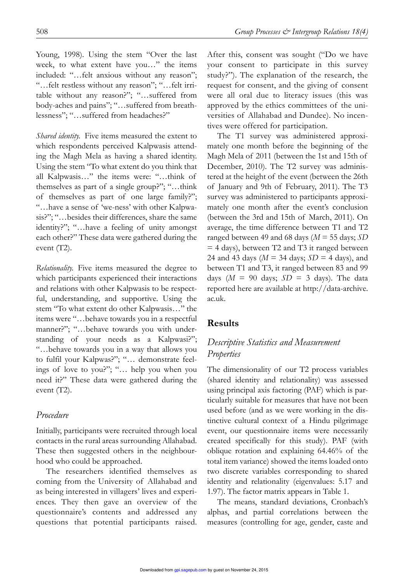Young, 1998). Using the stem "Over the last week, to what extent have you…" the items included: "…felt anxious without any reason"; "…felt restless without any reason"; "…felt irritable without any reason?"; "…suffered from body-aches and pains"; "…suffered from breathlessness"; "…suffered from headaches?"

*Shared identity.* Five items measured the extent to which respondents perceived Kalpwasis attending the Magh Mela as having a shared identity. Using the stem "To what extent do you think that all Kalpwasis…" the items were: "…think of themselves as part of a single group?"; "…think of themselves as part of one large family?"; "…have a sense of 'we-ness' with other Kalpwasis?"; "…besides their differences, share the same identity?"; "…have a feeling of unity amongst each other?" These data were gathered during the event (T2).

*Relationality.* Five items measured the degree to which participants experienced their interactions and relations with other Kalpwasis to be respectful, understanding, and supportive. Using the stem "To what extent do other Kalpwasis…" the items were "…behave towards you in a respectful manner?"; "...behave towards you with understanding of your needs as a Kalpwasi?"; "…behave towards you in a way that allows you to fulfil your Kalpwas?"; "… demonstrate feelings of love to you?"; "… help you when you need it?" These data were gathered during the event (T2).

## *Procedure*

Initially, participants were recruited through local contacts in the rural areas surrounding Allahabad. These then suggested others in the neighbourhood who could be approached.

The researchers identified themselves as coming from the University of Allahabad and as being interested in villagers' lives and experiences. They then gave an overview of the questionnaire's contents and addressed any questions that potential participants raised. After this, consent was sought ("Do we have your consent to participate in this survey study?"). The explanation of the research, the request for consent, and the giving of consent were all oral due to literacy issues (this was approved by the ethics committees of the universities of Allahabad and Dundee). No incentives were offered for participation.

The T1 survey was administered approximately one month before the beginning of the Magh Mela of 2011 (between the 1st and 15th of December, 2010). The T2 survey was administered at the height of the event (between the 26th of January and 9th of February, 2011). The T3 survey was administered to participants approximately one month after the event's conclusion (between the 3rd and 15th of March, 2011). On average, the time difference between T1 and T2 ranged between 49 and 68 days (*M* = 55 days; *SD* = 4 days), between T2 and T3 it ranged between 24 and 43 days ( $M = 34$  days;  $SD = 4$  days), and between T1 and T3, it ranged between 83 and 99 days  $(M = 90$  days;  $SD = 3$  days). The data reported here are available at http://data-archive. ac.uk.

## **Results**

## *Descriptive Statistics and Measurement Properties*

The dimensionality of our T2 process variables (shared identity and relationality) was assessed using principal axis factoring (PAF) which is particularly suitable for measures that have not been used before (and as we were working in the distinctive cultural context of a Hindu pilgrimage event, our questionnaire items were necessarily created specifically for this study). PAF (with oblique rotation and explaining 64.46% of the total item variance) showed the items loaded onto two discrete variables corresponding to shared identity and relationality (eigenvalues: 5.17 and 1.97). The factor matrix appears in Table 1.

The means, standard deviations, Cronbach's alphas, and partial correlations between the measures (controlling for age, gender, caste and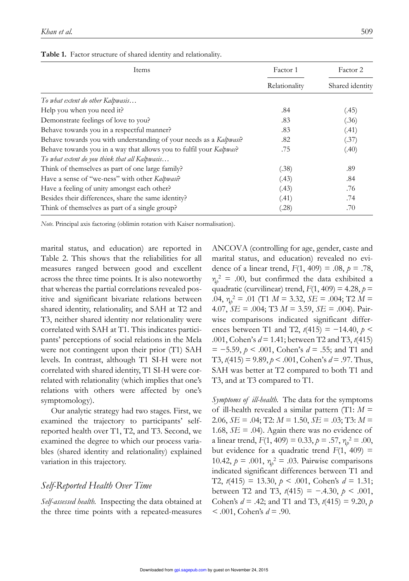| Items                                                                       | Factor 1      | Factor 2        |
|-----------------------------------------------------------------------------|---------------|-----------------|
|                                                                             | Relationality | Shared identity |
| To what extent do other Kalpwasis                                           |               |                 |
| Help you when you need it?                                                  | .84           | (.45)           |
| Demonstrate feelings of love to you?                                        | .83           | (.36)           |
| Behave towards you in a respectful manner?                                  | .83           | (.41)           |
| Behave towards you with understanding of your needs as a Kalpwast?          | .82           | (.37)           |
| Behave towards you in a way that allows you to fulfil your <i>Kalpwas</i> ? | .75           | (.40)           |
| To what extent do you think that all Kalpwasis                              |               |                 |
| Think of themselves as part of one large family?                            | (.38)         | .89             |
| Have a sense of "we-ness" with other <i>Kalpwasi</i> ?                      | (.43)         | .84             |
| Have a feeling of unity amongst each other?                                 | (.43)         | .76             |
| Besides their differences, share the same identity?                         | (.41)         | .74             |
| Think of themselves as part of a single group?                              | (.28)         | .70             |

**Table 1.** Factor structure of shared identity and relationality.

*Note*. Principal axis factoring (oblimin rotation with Kaiser normalisation).

marital status, and education) are reported in Table 2. This shows that the reliabilities for all measures ranged between good and excellent across the three time points. It is also noteworthy that whereas the partial correlations revealed positive and significant bivariate relations between shared identity, relationality, and SAH at T2 and T3, neither shared identity nor relationality were correlated with SAH at T1. This indicates participants' perceptions of social relations in the Mela were not contingent upon their prior (T1) SAH levels. In contrast, although T1 SI-H were not correlated with shared identity, T1 SI-H were correlated with relationality (which implies that one's relations with others were affected by one's symptomology).

Our analytic strategy had two stages. First, we examined the trajectory to participants' selfreported health over T1, T2, and T3. Second, we examined the degree to which our process variables (shared identity and relationality) explained variation in this trajectory.

## *Self-Reported Health Over Time*

*Self-assessed health.* Inspecting the data obtained at the three time points with a repeated-measures

ANCOVA (controlling for age, gender, caste and marital status, and education) revealed no evidence of a linear trend,  $F(1, 409) = .08$ ,  $p = .78$ ,  $\eta_p^2$  = .00, but confirmed the data exhibited a quadratic (curvilinear) trend,  $F(1, 409) = 4.28$ ,  $p =$ .04, η*<sup>p</sup>* 2 = .01 (T1 *M* = 3.32, *SE* = .004; T2 *M* = 4.07, *SE* = .004; T3 *M* = 3.59, *SE* = .004). Pairwise comparisons indicated significant differences between T1 and T2, *t*(415) = −14.40, *p* < .001, Cohen's *d* = 1.41; between T2 and T3, *t*(415) = −5.59, *p* < .001, Cohen's *d* = .55; and T1 and T3, *t*(415) = 9.89, *p* < .001, Cohen's *d* = .97. Thus, SAH was better at T2 compared to both T1 and T3, and at T3 compared to T1.

*Symptoms of ill-health.* The data for the symptoms of ill-health revealed a similar pattern (T1: *M* = 2.06, *SE* = .04; T2: *M* = 1.50, *SE* = .03; T3: *M* = 1.68,  $SE = .04$ ). Again there was no evidence of a linear trend,  $F(1, 409) = 0.33$ ,  $p = .57$ ,  $\eta_p^2 = .00$ , but evidence for a quadratic trend  $F(1, 409) =$ 10.42,  $p = .001$ ,  $\eta_p^2 = .03$ . Pairwise comparisons indicated significant differences between T1 and T2, *t*(415) = 13.30, *p* < .001, Cohen's *d* = 1.31; between T2 and T3,  $t(415) = -.4.30, p < .001,$ Cohen's *d* = .42; and T1 and T3, *t*(415) = 9.20, *p <* .001, Cohen's *d* = .90.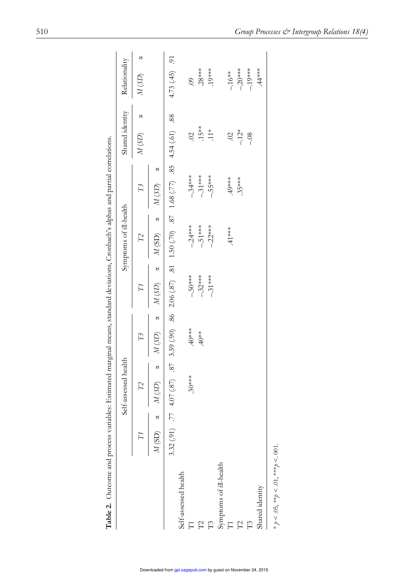|                        |                     |   | Self-assessed health |                |                | Symptoms of ill-health                                                                         |                |   | Shared identity     |   | Relationality       |   |
|------------------------|---------------------|---|----------------------|----------------|----------------|------------------------------------------------------------------------------------------------|----------------|---|---------------------|---|---------------------|---|
|                        | Т                   |   | $T^2$                | T3             | F              | $T^2$                                                                                          | T <sub>3</sub> |   | M(SD)               | 8 | $M\left( SD\right)$ | ŏ |
|                        | $\overline{M}$ (SD) | ŏ | $M(SD) \alpha$       | $M(SD) \alpha$ | $M(SD) \alpha$ | $M(SD) \alpha$                                                                                 | M(SD)          | ð |                     |   |                     |   |
|                        | 3.32(01)            |   |                      |                |                | .77 $4.07(.87)$ .87 3.59 (.90) .86 2.06 (.87) .81 1.50 (.70) .87 1.68 (.77) .85 4.54 (.61) .88 |                |   |                     |   | 4.73 $(45)$ .91     |   |
| Self-assessed health   |                     |   |                      |                |                |                                                                                                |                |   |                     |   |                     |   |
|                        |                     |   | $.30***$             | $-40**$        | $-50***$       | $-24***$                                                                                       | $-.34***$      |   | $\ddot{\circ}$      |   | $\ddot{0}$          |   |
|                        |                     |   |                      | $.40**$        | $-.32***$      | $-51***$                                                                                       | $-.31***$      |   | $.15**$             |   | $.28***$            |   |
|                        |                     |   |                      |                | $-31***$       | $-22***$                                                                                       | $-55***$       |   | $.11*$              |   | $.19***$            |   |
| Symptoms of ill-health |                     |   |                      |                |                |                                                                                                |                |   |                     |   |                     |   |
|                        |                     |   |                      |                |                | $.41***$                                                                                       | $.49***$       |   | $\ddot{\mathrm{S}}$ |   | $-16**$             |   |
|                        |                     |   |                      |                |                |                                                                                                | $.35***$       |   | $-.12*$             |   | $-20***$            |   |
|                        |                     |   |                      |                |                |                                                                                                |                |   | $-08$               |   | $-.19***$           |   |
| Shared identity        |                     |   |                      |                |                |                                                                                                |                |   |                     |   | $.44***$            |   |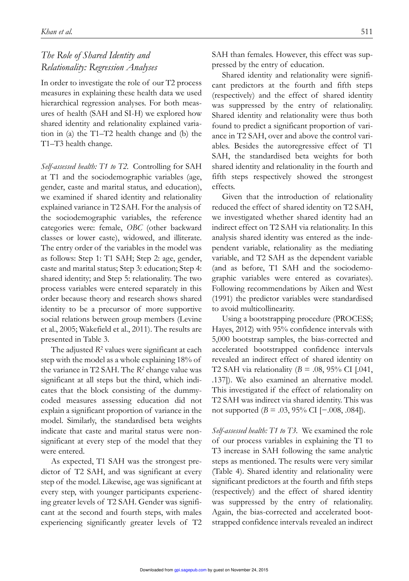# *The Role of Shared Identity and Relationality: Regression Analyses*

In order to investigate the role of our T2 process measures in explaining these health data we used hierarchical regression analyses. For both measures of health (SAH and SI-H) we explored how shared identity and relationality explained variation in (a) the T1–T2 health change and (b) the T1–T3 health change.

*Self-assessed health: T1 to T2.* Controlling for SAH at T1 and the sociodemographic variables (age, gender, caste and marital status, and education), we examined if shared identity and relationality explained variance in T2 SAH. For the analysis of the sociodemographic variables, the reference categories were: female, *OBC* (other backward classes or lower caste), widowed, and illiterate. The entry order of the variables in the model was as follows: Step 1: T1 SAH; Step 2: age, gender, caste and marital status; Step 3: education; Step 4: shared identity; and Step 5: relationality. The two process variables were entered separately in this order because theory and research shows shared identity to be a precursor of more supportive social relations between group members (Levine et al., 2005; Wakefield et al., 2011). The results are presented in Table 3.

The adjusted *R*<sup>2</sup> values were significant at each step with the model as a whole explaining 18% of the variance in T2 SAH. The *R<sup>2</sup>* change value was significant at all steps but the third, which indicates that the block consisting of the dummycoded measures assessing education did not explain a significant proportion of variance in the model. Similarly, the standardised beta weights indicate that caste and marital status were nonsignificant at every step of the model that they were entered.

As expected, T1 SAH was the strongest predictor of T2 SAH, and was significant at every step of the model. Likewise, age was significant at every step, with younger participants experiencing greater levels of T2 SAH. Gender was significant at the second and fourth steps, with males experiencing significantly greater levels of T2 SAH than females. However, this effect was suppressed by the entry of education.

Shared identity and relationality were significant predictors at the fourth and fifth steps (respectively) and the effect of shared identity was suppressed by the entry of relationality. Shared identity and relationality were thus both found to predict a significant proportion of variance in T2 SAH, over and above the control variables. Besides the autoregressive effect of T1 SAH, the standardised beta weights for both shared identity and relationality in the fourth and fifth steps respectively showed the strongest effects.

Given that the introduction of relationality reduced the effect of shared identity on T2 SAH, we investigated whether shared identity had an indirect effect on T2 SAH via relationality. In this analysis shared identity was entered as the independent variable, relationality as the mediating variable, and T2 SAH as the dependent variable (and as before, T1 SAH and the sociodemographic variables were entered as covariates). Following recommendations by Aiken and West (1991) the predictor variables were standardised to avoid multicollinearity.

Using a bootstrapping procedure (PROCESS; Hayes, 2012) with 95% confidence intervals with 5,000 bootstrap samples, the bias-corrected and accelerated bootstrapped confidence intervals revealed an indirect effect of shared identity on T2 SAH via relationality  $(B = .08, 95\% \text{ CI } [.041,$ .137]). We also examined an alternative model. This investigated if the effect of relationality on T2 SAH was indirect via shared identity. This was not supported (*B* = .03, 95% CI [−.008, .084]).

*Self-assessed health: T1 to T3.* We examined the role of our process variables in explaining the T1 to T3 increase in SAH following the same analytic steps as mentioned. The results were very similar (Table 4). Shared identity and relationality were significant predictors at the fourth and fifth steps (respectively) and the effect of shared identity was suppressed by the entry of relationality. Again, the bias-corrected and accelerated bootstrapped confidence intervals revealed an indirect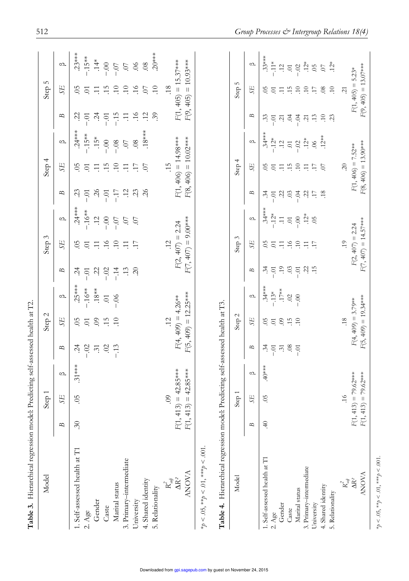| Model                                                                                                                         |                 | Step 1                                           |          |                      | Step 2                                          |                     |                          | Step 3                                       |                         |                              | Step 4                                          |                          |                                   | Step 5                                        |                     |
|-------------------------------------------------------------------------------------------------------------------------------|-----------------|--------------------------------------------------|----------|----------------------|-------------------------------------------------|---------------------|--------------------------|----------------------------------------------|-------------------------|------------------------------|-------------------------------------------------|--------------------------|-----------------------------------|-----------------------------------------------|---------------------|
|                                                                                                                               | B               | 5E                                               | ∞.       | В                    | SE                                              | $\infty$            | B                        | SE                                           | $\infty$                | B                            | SE                                              | $\infty$                 | В                                 | 5E                                            | $\infty$            |
| 1. Self-assessed health at T1                                                                                                 | $\ddot{c}$ .    | 05                                               | $.31***$ | $-0.2$<br>$\ddot{c}$ | 05<br>$\overline{C}$                            | $.25***$<br>$-16**$ | Ş4<br>$-0.1$             | $\overline{0}$<br>$\overline{C}$             | $.24***$<br>$-16**$     | S<br>$-0.1$                  | $\overline{0}$<br>$\Xi$                         | $.24***$<br>$-15**$      | Sj.<br>$-5$                       | $\overline{0}$<br>$\overline{C}$              | $.23***$<br>$-15**$ |
| Gender<br>2. Age                                                                                                              |                 |                                                  |          | $\ddot{31}$          | $\odot$                                         | $.18**$             | ġ                        | $\Xi$                                        | $\ddot{5}$              | 92                           | $\Xi$                                           | $.15*$                   | Ş4                                | $\Xi$                                         | $14*$               |
| Caste                                                                                                                         |                 |                                                  |          | .02                  | $\ddot{15}$                                     | $\Xi$               | $-02$                    | $\ddot{16}$                                  | $-0.0$                  | $-0.1$                       | $\ddot{.}15$                                    | $-0.0$                   | $-0.1$                            | $\ddot{15}$                                   | $-0.0$              |
| Marital status                                                                                                                |                 |                                                  |          | $-13$                | $\ddot{=}$                                      | $-0.06$             | $-14$                    | $\ddot{=}$                                   | $-0$                    | $-17$                        | $\ddot{=}$                                      | $-0.8$                   | $-15$                             | $\ddot{=}$                                    | $-0$                |
| 3. Primary-intermediate                                                                                                       |                 |                                                  |          |                      |                                                 |                     | $\ddot{1}$               | $\equiv$                                     | $\ddot{\theta}$         | $-12$                        | $\Xi$                                           | $\rm 0.0$                | $\Xi$                             | $\ddot{=}$                                    | $\odot$             |
| University                                                                                                                    |                 |                                                  |          |                      |                                                 |                     | $\ddot{c}$               | $\overline{17}$                              | $\overline{0}$          | $23$                         | $\overline{17}$                                 | 08                       | $\ddot{ }$                        | $\ddot{0}$                                    | $\lesssim$          |
| 4. Shared identity                                                                                                            |                 |                                                  |          |                      |                                                 |                     |                          |                                              |                         | $\tilde{\mathcal{L}}$        | $\overline{0}$                                  | $.18***$                 | $\ddot{5}$                        | $\overline{0}$                                | $\overline{08}$     |
| 5. Relationality                                                                                                              |                 |                                                  |          |                      |                                                 |                     |                          |                                              |                         |                              |                                                 |                          | 39                                | $\overline{10}$                               | $.20***$            |
|                                                                                                                               |                 | $\odot$                                          |          |                      | $\overline{12}$                                 |                     |                          | $\overline{12}$                              |                         |                              | 15                                              |                          |                                   | .18                                           |                     |
| $\mathop{\rm K}\nolimits^{2}_{adj}$                                                                                           |                 | $\overline{r}(1, 413) = 42.85***$                |          |                      | $F(4, 409) = 4.26***$                           |                     |                          | $F(2, 407) = 2.24$                           |                         |                              | $F(1, 406) = 14.98***$                          |                          |                                   | $F(1, 405) = 15.37***$                        |                     |
| <b>ANOVA</b>                                                                                                                  |                 | $\frac{1}{2}(1, 413) = 42.85***$                 |          |                      | $F(5, 409) = 12.25***$                          |                     |                          | $F(7, 407) = 9.00***$                        |                         |                              | $F(8, 406) = 10.02***$                          |                          |                                   | $F(9, 405) = 10.93***$                        |                     |
| Table 4. Hierarchical regression model: Predicting self-assessed health at T3.<br>$*_{p} < .05, **_{p} < .01, **_{p} < .001.$ |                 |                                                  |          |                      |                                                 |                     |                          |                                              |                         |                              |                                                 |                          |                                   |                                               |                     |
| Model                                                                                                                         |                 | Step 1                                           |          |                      | Step 2                                          |                     |                          | Step 3                                       |                         |                              | Step 4                                          |                          |                                   | Step 5                                        |                     |
|                                                                                                                               | B               | <b>SE</b>                                        | ∞.       | B                    | SE                                              | $\infty$            | B                        | <b>SE</b>                                    | ∞.                      | B                            | <b>SE</b>                                       | ∞.                       | B                                 | <b>SE</b>                                     | ∞.                  |
| 1. Self-assessed health at T1                                                                                                 | $\overline{40}$ | 05                                               | $40***$  | $\ddot{34}$          | $\overline{c}$                                  | $.34***$            | $\ddot{ }$               | 05                                           | $.34***$                | $\ddot{34}$                  | 05                                              | $.34***$                 | 33                                | $\overline{c}$                                | $.33***$            |
| $2.$ Age                                                                                                                      |                 |                                                  |          | $-0$                 | $\Xi$                                           | $-13*$              | $-0.01$                  | $\overline{c}$                               | $-12*$                  | $-0.01$                      | S.                                              | $-12$ <sup>*</sup>       | $-0.1$                            | $\Xi$                                         | $-11*$              |
| Gender                                                                                                                        |                 |                                                  |          | $\ddot{5}$           | $\odot$                                         | $17**$              | $\ddot{=}$               | $\Xi$                                        | $\Xi$                   | $\tilde{\mathcal{L}}$        | $\Xi$                                           |                          | $\dot{\mathcal{L}}$               | $\Xi$                                         | $\ddot{5}$          |
| Caste                                                                                                                         |                 |                                                  |          | 08                   | $\ddot{15}$                                     | $\overline{0}$      | 03                       | $\ddot{16}$                                  | $\Xi$                   | 03                           | $\ddot{15}$                                     | $\Xi$                    | $\ddot{q}$                        | $\ddot{15}$                                   | $\overline{C}$      |
| Marital status                                                                                                                |                 |                                                  |          | $-0$                 | $\ddot{=}$                                      | $-00$               | $-0$                     | $\ddot{=}$                                   | $-0.0$                  | $-0.1$                       | $\ddot{=}$                                      | $-02$                    | $-0.4$                            | $\Xi$                                         | $-0.02$             |
| 3. Primary-intermediate<br>University                                                                                         |                 |                                                  |          |                      |                                                 |                     | $\ddot{15}$<br>$\dot{z}$ | $\Xi$<br>$\overline{17}$                     | $\stackrel{*}{2}$<br>05 | $\dot{\mathcal{Z}}$<br>$\pm$ | H.<br>$\Xi$                                     | $.12*$<br>$\overline{0}$ | $\ddot{1}$<br>$\ddot{\mathrm{2}}$ | $\Xi$<br>$\overline{1}$                       | $.12*$<br>0.5       |
| 4. Shared identity                                                                                                            |                 |                                                  |          |                      |                                                 |                     |                          |                                              |                         | $\ddot{.}$                   | $\overline{0}$                                  | $12**$                   | $\ddot{=}$                        | $\ddot{\circ}$                                | $\overline{0}$      |
| 5. Relationality                                                                                                              |                 |                                                  |          |                      |                                                 |                     |                          |                                              |                         |                              |                                                 |                          | $\ddot{c}$                        | $\ddot{=}$                                    | $.12*$              |
| $\mathop{\rm R}\nolimits^{2}_{\mathop{\mathit{adj}}}$ $\Delta\mathop{\rm R}\nolimits^{2}$                                     |                 | $\frac{16}{1}$                                   |          |                      | .18                                             |                     |                          | $\ddot{ }$                                   |                         |                              | $\ddot{c}$                                      |                          |                                   | $\ddot{c}$                                    |                     |
| <b>ANOVA</b>                                                                                                                  |                 | $F(1, 413) = 79.62***$<br>$F(1, 413) = 79.62***$ |          |                      | $F(5, 409) = 19.34***$<br>$F(4, 409) = 3.79***$ |                     |                          | $F(7, 407) = 14.57***$<br>$F(2, 407) = 2.24$ |                         |                              | $F(8, 406) = 13.90***$<br>$F(1, 406) = 7.52***$ |                          |                                   | $F(9, 405) = 13.07***$<br>$F(1, 405) = 5.23*$ |                     |

 $* p < .05, ** p < .01, ** p < .001.$ \**p* < .05, \*\**p* < .01, \*\*\**p* < .001.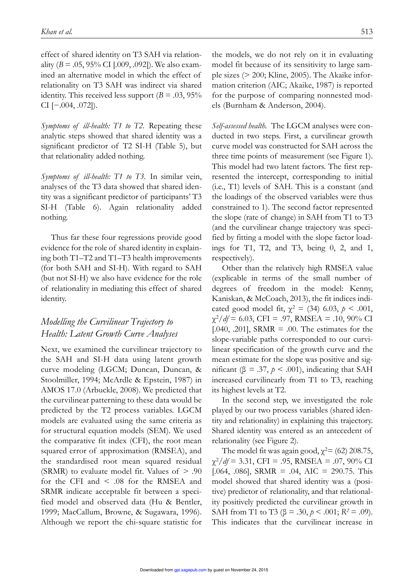effect of shared identity on T3 SAH via relationality ( $B = .05$ , 95% CI [.009, .092]). We also examined an alternative model in which the effect of relationality on T3 SAH was indirect via shared identity. This received less support  $(B = .03, 95\%$ CI  $[-.004, .072]$ ).

*Symptoms of ill-health: T1 to T2.* Repeating these analytic steps showed that shared identity was a significant predictor of T2 SI-H (Table 5), but that relationality added nothing.

*Symptoms of ill-health: T1 to T3.* In similar vein, analyses of the T3 data showed that shared identity was a significant predictor of participants' T3 SI-H (Table 6). Again relationality added nothing.

Thus far these four regressions provide good evidence for the role of shared identity in explaining both T1–T2 and T1–T3 health improvements (for both SAH and SI-H). With regard to SAH (but not SI-H) we also have evidence for the role of relationality in mediating this effect of shared identity.

# *Modelling the Curvilinear Trajectory to Health: Latent Growth Curve Analyses*

Next, we examined the curvilinear trajectory to the SAH and SI-H data using latent growth curve modeling (LGCM; Duncan, Duncan, & Stoolmiller, 1994; McArdle & Epstein, 1987) in AMOS 17.0 (Arbuckle, 2008). We predicted that the curvilinear patterning to these data would be predicted by the T2 process variables. LGCM models are evaluated using the same criteria as for structural equation models (SEM). We used the comparative fit index (CFI), the root mean squared error of approximation (RMSEA), and the standardised root mean squared residual (SRMR) to evaluate model fit. Values of  $> .90$ for the CFI and < .08 for the RMSEA and SRMR indicate acceptable fit between a specified model and observed data (Hu & Bentler, 1999; MacCallum, Browne, & Sugawara, 1996). Although we report the chi-square statistic for the models, we do not rely on it in evaluating model fit because of its sensitivity to large sample sizes (> 200; Kline, 2005). The Akaike information criterion (AIC; Akaike, 1987) is reported for the purpose of comparing nonnested models (Burnham & Anderson, 2004).

*Self-assessed health.* The LGCM analyses were conducted in two steps. First, a curvilinear growth curve model was constructed for SAH across the three time points of measurement (see Figure 1). This model had two latent factors. The first represented the intercept, corresponding to initial (i.e., T1) levels of SAH. This is a constant (and the loadings of the observed variables were thus constrained to 1). The second factor represented the slope (rate of change) in SAH from T1 to T3 (and the curvilinear change trajectory was specified by fitting a model with the slope factor loadings for T1, T2, and T3, being 0, 2, and 1, respectively).

Other than the relatively high RMSEA value (explicable in terms of the small number of degrees of freedom in the model: Kenny, Kaniskan, & McCoach, 2013), the fit indices indicated good model fit,  $\chi^2 = (34)$  6.03,  $p < .001$ ,  $\chi^2/df = 6.03$ , CFI = .97, RMSEA = .10, 90% CI  $[0.040, 0.201]$ , SRMR =  $.00$ . The estimates for the slope-variable paths corresponded to our curvilinear specification of the growth curve and the mean estimate for the slope was positive and significant (β = .37,  $p < .001$ ), indicating that SAH increased curvilinearly from T1 to T3, reaching its highest levels at T2.

In the second step, we investigated the role played by our two process variables (shared identity and relationality) in explaining this trajectory. Shared identity was entered as an antecedent of relationality (see Figure 2).

The model fit was again good,  $\gamma^2 = (62)$  208.75,  $\chi^2/df = 3.31$ , CFI = .95, RMSEA = .07, 90% CI [.064, .086], SRMR = .04, AIC = 290.75. This model showed that shared identity was a (positive) predictor of relationality, and that relationality positively predicted the curvilinear growth in SAH from T1 to T3 ( $\beta = .30, p < .001; R^2 = .09$ ). This indicates that the curvilinear increase in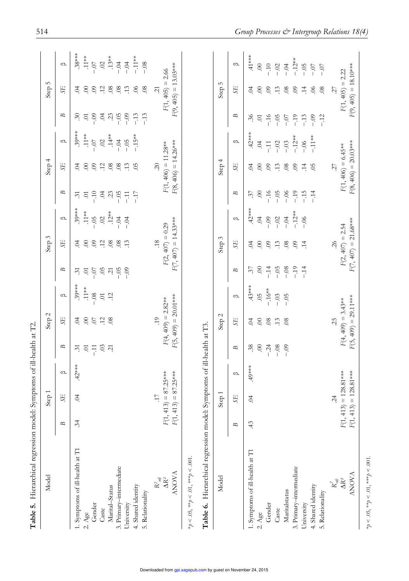| Table 5. Hierarchical regression model: Symptoms of ill-health at T2. |             |                                                    |          |            |                                                 |                |                                           |                                              |                |                       |                                                  |                             |                |                                              |                                                         |
|-----------------------------------------------------------------------|-------------|----------------------------------------------------|----------|------------|-------------------------------------------------|----------------|-------------------------------------------|----------------------------------------------|----------------|-----------------------|--------------------------------------------------|-----------------------------|----------------|----------------------------------------------|---------------------------------------------------------|
| Model                                                                 |             | Step 1                                             |          |            | Step <sub>2</sub>                               |                |                                           | Step 3                                       |                |                       | Step 4                                           |                             |                | Step 5                                       |                                                         |
|                                                                       | B           | 5 <sup>2</sup>                                     | $\infty$ | B          | <b>SE</b>                                       | $\infty$       | B                                         | <b>SE</b>                                    | $\infty$       | B                     | <b>SE</b>                                        | $\infty$                    | B              | 59                                           | $\infty$                                                |
| 1. Symptoms of ill-health at T1                                       | $\ddot{34}$ | $\Xi$                                              | $.42***$ | $\ddot{c}$ | $\tilde{c}$                                     | $.39***$       | $\ddot{3}$                                | $\beta$                                      | $.39***$       | $\ddot{5}$            | Z,                                               | $.39***$                    | $\ddot{\cdot}$ | S,                                           | $.38***$                                                |
| 2. Age                                                                |             |                                                    |          | $\Xi$      | $\infty$                                        | $.11**$        | $\Xi$                                     | $\infty$                                     | $11**$         | $\Xi$                 | $\infty$                                         | $\stackrel{*}{\mathcal{L}}$ | Э.             | $\infty$                                     |                                                         |
| Gender                                                                |             |                                                    |          | $-11$      | $\overline{0}$                                  | $-0.8$         | $-0$                                      | $\odot$                                      | $-0.5$         | $-10$                 | $\odot$                                          | $-07$<br>$-02$<br>$14**$    | $-0.09$        | $\odot$                                      | $11**$<br>$-07$<br>$-07$<br>$-13**$<br>$-13**$<br>$-14$ |
| Caste                                                                 |             |                                                    |          |            | $\ddot{5}$                                      | $\Xi$          |                                           | $\ddot{5}$                                   | $\mathbb{S}^2$ | $\widetilde{z}$       | $\overline{12}$                                  |                             | $\ddot{q}$     | $\ddot{5}$                                   |                                                         |
| Marital-Status                                                        |             |                                                    |          | 03         | $\frac{8}{2}$                                   | $\ddot{c}$     | $\begin{array}{c} 0.5 \\ 0.7 \end{array}$ | 08                                           | $.12**$        | $\tilde{\mathcal{L}}$ | 08                                               |                             | $\ddot{c}$     | 08                                           |                                                         |
| 3. Primary-intermediate                                               |             |                                                    |          |            |                                                 |                | $-0.5$                                    | $\overline{08}$                              | $-0.4$         | $-0.5$                | $\overline{08}$                                  | $-0.04$                     | $-0.5$         | $\overline{08}$                              |                                                         |
| University                                                            |             |                                                    |          |            |                                                 |                | $-0.9$                                    | $\ddot{13}$                                  | $-04$          | $-11$                 | $\ddot{1}$                                       | $-0.5$                      | $-0.0$         | $\ddot{13}$                                  |                                                         |
| 4. Shared identity<br>5. Relationality                                |             |                                                    |          |            |                                                 |                |                                           |                                              |                | $-17$                 | 05                                               | $-.15**$                    | $-13$<br>$-13$ | $\infty$<br>08                               | $-11**$<br>$-08$                                        |
| $R^2_{\, \it adj}$                                                    |             | $\overline{17}$                                    |          |            | $\ddot{.}19$                                    |                |                                           | .18                                          |                |                       | $\overline{c}$ .                                 |                             |                | $\ddot{c}$                                   |                                                         |
| <b>ANOVA</b><br>$\Delta R^2$                                          |             | $F(1, 413) = 87.25***$<br>$F(1, 413) = 87.25***$   |          |            | $F(5, 409) = 20.01***$<br>$F(4, 409) = 2.82***$ |                |                                           | $F(7, 407) = 14.33***$<br>$F(2, 407) = 0.29$ |                |                       | $F(8, 406) = 14.26***$<br>$F(1, 406) = 11.28***$ |                             |                | $F(9, 405) = 13.03***$<br>$F(1, 405) = 2.66$ |                                                         |
| * $p < .05, **p < .01,***p < .001$ .                                  |             |                                                    |          |            |                                                 |                |                                           |                                              |                |                       |                                                  |                             |                |                                              |                                                         |
| Table 6. Hierarchical regression model: Symptoms of ill-health at T3. |             |                                                    |          |            |                                                 |                |                                           |                                              |                |                       |                                                  |                             |                |                                              |                                                         |
| Model                                                                 |             | Step 1                                             |          |            | Step 2                                          |                |                                           | Step 3                                       |                |                       | Step 4                                           |                             |                | Step 5                                       |                                                         |
|                                                                       | B           | SE <sub>1</sub>                                    | $\infty$ | B          | SE                                              | $\infty$       | B                                         | SE <sub>1</sub>                              | $\infty$       | B                     | 5E                                               | $\infty$                    | B              | <b>SE</b>                                    | $\infty$                                                |
| 1. Symptoms of ill-health at T1                                       | 43          | $\ddot{\mathrm{C}}$                                | $.49***$ | 38         | $\tilde{q}$                                     | $.43***$       | $\overline{37}$                           | $\tilde{c}$                                  | $.42***$       | 57                    | $\mathfrak{S}$                                   | $.42***$                    | 56             | S.                                           | $.41***$                                                |
| 2. Age                                                                |             |                                                    |          | $\odot$    | $\infty$                                        | $\ddot{\circ}$ | $\odot$                                   | $\infty$                                     | $\rm G$        | 00                    | $\infty$                                         | $\rm ^{0}$                  | $\Xi$          | $\infty$                                     | $\odot$                                                 |
| Gender                                                                |             |                                                    |          | $-24$      | $\overline{08}$                                 | $-16**$        | $-14$                                     | $\odot$                                      | $-0.9$         | $-16$                 | $\odot$                                          | $-11$                       | $-16$          | $\odot$                                      | $-10$                                                   |
| Caste                                                                 |             |                                                    |          | $-0.8$     | $\ddot{13}$                                     | $-0.3$         | $-0.5$                                    | $\ddot{13}$                                  | $-02$          | $-0.5$                | $\overline{13}$                                  | $-02$                       | $-0.5$         | $\ddot{1}$                                   | $-02$                                                   |
| Maritalstatus                                                         |             |                                                    |          | $-0.9$     | $\overline{08}$                                 | $-0.5$         | $-0.8$                                    | $\overline{08}$                              | $-0.4$         | $-0.6$                | $\approx$                                        | $-03$                       | $-0.7$         | 08                                           | $+04$                                                   |
| 3. Primary-intermediate                                               |             |                                                    |          |            |                                                 |                | $-19$                                     | $\odot$                                      | $-12**$        | $-19$                 | $\odot$                                          | $-.12**$                    | $-19$          | $\odot$                                      | $-.12**$                                                |
| University                                                            |             |                                                    |          |            |                                                 |                | $-14$                                     | $\overline{14}$                              | $-0.06$        | $-15$                 | $\ddot{=}$                                       | $-0.06$                     | $-13$          | $\ddot{=}$                                   | $-0.5$                                                  |
| 4. Shared identity                                                    |             |                                                    |          |            |                                                 |                |                                           |                                              |                | $-14$                 | $\ddot{\circ}$                                   | $-11**$                     | $-0.0$         | $\odot$                                      | $-0.7$                                                  |
| 5. Relationality                                                      |             |                                                    |          |            |                                                 |                |                                           |                                              |                |                       |                                                  |                             | $-12$          | 08                                           |                                                         |
| $R_{adj}^2$                                                           |             | .24                                                |          |            | 25                                              |                |                                           | 26                                           |                |                       | $\ddot{c}$                                       |                             |                | 27                                           |                                                         |
| <b>ANOVA</b><br>$\Delta R^2$                                          |             | $F(1, 413) = 128.81***$<br>$F(1, 413) = 128.81***$ |          |            | $F(5, 409) = 29.11***$<br>$F(4, 409) = 3.43***$ |                |                                           | $F(7, 407) = 21.68***$<br>$F(2, 407) = 2.54$ |                |                       | $F(8, 406) = 20.03***$<br>$F(1, 406) = 6.45***$  |                             |                | $F(9, 405) = 18.10***$<br>$F(1, 405) = 2.22$ |                                                         |
|                                                                       |             |                                                    |          |            |                                                 |                |                                           |                                              |                |                       |                                                  |                             |                |                                              |                                                         |

 $*_{\hat{p}} < .05, **_{\hat{p}} < .01,***_{\hat{p}} < .001.$ \**p* < .05, \*\**p* < .01, \*\*\**p* < .001.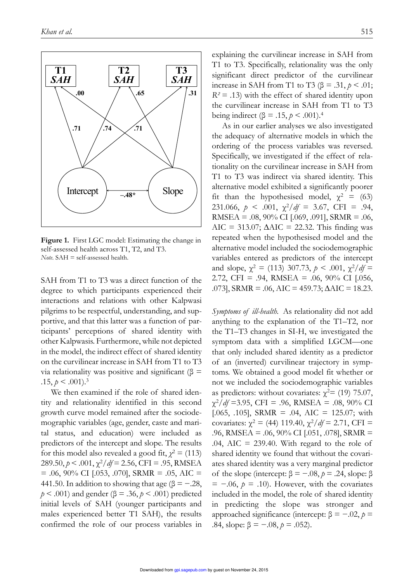

**Figure 1.** First LGC model: Estimating the change in self-assessed health across T1, T2, and T3. *Note*. SAH = self-assessed health.

SAH from T1 to T3 was a direct function of the degree to which participants experienced their interactions and relations with other Kalpwasi pilgrims to be respectful, understanding, and supportive, and that this latter was a function of participants' perceptions of shared identity with other Kalpwasis. Furthermore, while not depicted in the model, the indirect effect of shared identity on the curvilinear increase in SAH from T1 to T3 via relationality was positive and significant (β =  $.15, p \leq .001$ .<sup>3</sup>

We then examined if the role of shared identity and relationality identified in this second growth curve model remained after the sociodemographic variables (age, gender, caste and marital status, and education) were included as predictors of the intercept and slope. The results for this model also revealed a good fit,  $\chi^2 = (113)$ 289.50, *p* < .001, χ<sup>2</sup>/*df* = 2.56, CFI = .95, RMSEA  $= .06, 90\% \text{ CI}$  [.053, .070], SRMR  $= .05, \text{ AIC} =$ 441.50. In addition to showing that age ( $\beta = -.28$ , *p* < .001) and gender (β = .36, *p* < .001) predicted initial levels of SAH (younger participants and males experienced better T1 SAH), the results confirmed the role of our process variables in

explaining the curvilinear increase in SAH from T1 to T3. Specifically, relationality was the only significant direct predictor of the curvilinear increase in SAH from T1 to T3 ( $\beta$  = .31,  $p$  < .01;  $R^2$  = .13) with the effect of shared identity upon the curvilinear increase in SAH from T1 to T3 being indirect (β = .15, *p* < .001).<sup>4</sup>

As in our earlier analyses we also investigated the adequacy of alternative models in which the ordering of the process variables was reversed. Specifically, we investigated if the effect of relationality on the curvilinear increase in SAH from T1 to T3 was indirect via shared identity. This alternative model exhibited a significantly poorer fit than the hypothesised model,  $\chi^2 = (63)$ 231.066,  $p < .001$ ,  $\chi^2/df = 3.67$ , CFI = .94, RMSEA = .08, 90% CI [.069, .091], SRMR = .06, AIC = 313.07;  $\triangle$ AIC = 22.32. This finding was repeated when the hypothesised model and the alternative model included the sociodemographic variables entered as predictors of the intercept and slope,  $\chi^2 = (113)$  307.73,  $p < .001$ ,  $\chi^2/df =$ 2.72, CFI = .94, RMSEA = .06, 90% CI  $[.056,$ .073], SRMR = .06, AIC = 459.73;  $\triangle AIC = 18.23$ .

*Symptoms of ill-health.* As relationality did not add anything to the explanation of the T1–T2, nor the T1–T3 changes in SI-H, we investigated the symptom data with a simplified LGCM—one that only included shared identity as a predictor of an (inverted) curvilinear trajectory in symptoms. We obtained a good model fit whether or not we included the sociodemographic variables as predictors: without covariates:  $χ² = (19) 75.07$ ,  $\chi^2/df = 3.95$ , CFI = .96, RMSEA = .08, 90% CI [.065, .105], SRMR = .04, AIC = 125.07; with covariates:  $\chi^2 = (44)$  119.40,  $\chi^2/df = 2.71$ , CFI = .96, RMSEA = .06, 90% CI [.051, .078], SRMR =  $.04$ , AIC = 239.40. With regard to the role of shared identity we found that without the covariates shared identity was a very marginal predictor of the slope (intercept: β = −.08, *p* = .24, slope: β  $= -0.06$ ,  $p = 0.10$ . However, with the covariates included in the model, the role of shared identity in predicting the slope was stronger and approached significance (intercept: β = −.02, *p* = .84, slope:  $β = -.08, p = .052$ ).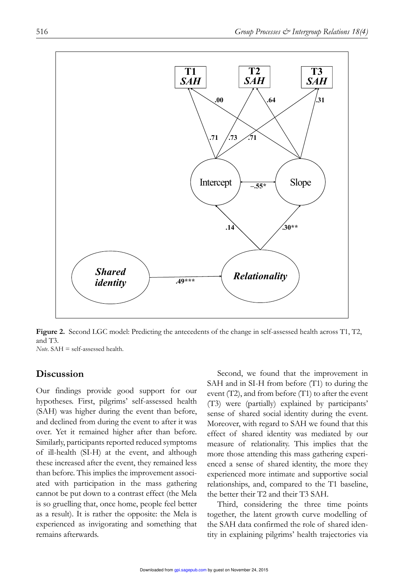

**Figure 2.** Second LGC model: Predicting the antecedents of the change in self-assessed health across T1, T2, and T3.

## *Note*. SAH = self-assessed health.

## **Discussion**

Our findings provide good support for our hypotheses. First, pilgrims' self-assessed health (SAH) was higher during the event than before, and declined from during the event to after it was over. Yet it remained higher after than before. Similarly, participants reported reduced symptoms of ill-health (SI-H) at the event, and although these increased after the event, they remained less than before. This implies the improvement associated with participation in the mass gathering cannot be put down to a contrast effect (the Mela is so gruelling that, once home, people feel better as a result). It is rather the opposite: the Mela is experienced as invigorating and something that remains afterwards.

Second, we found that the improvement in SAH and in SI-H from before (T1) to during the event (T2), and from before (T1) to after the event (T3) were (partially) explained by participants' sense of shared social identity during the event. Moreover, with regard to SAH we found that this effect of shared identity was mediated by our measure of relationality. This implies that the more those attending this mass gathering experienced a sense of shared identity, the more they experienced more intimate and supportive social relationships, and, compared to the T1 baseline, the better their T2 and their T3 SAH.

Third, considering the three time points together, the latent growth curve modelling of the SAH data confirmed the role of shared identity in explaining pilgrims' health trajectories via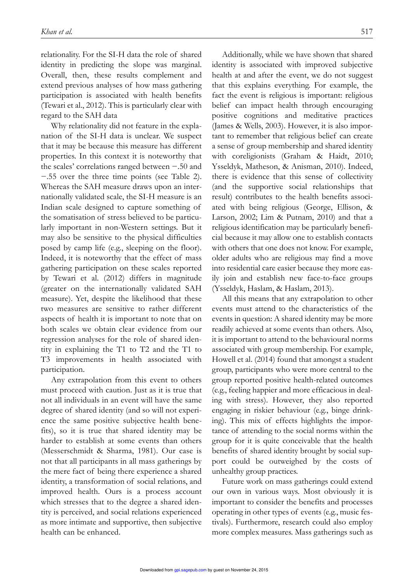relationality. For the SI-H data the role of shared identity in predicting the slope was marginal. Overall, then, these results complement and extend previous analyses of how mass gathering participation is associated with health benefits (Tewari et al., 2012). This is particularly clear with regard to the SAH data

Why relationality did not feature in the explanation of the SI-H data is unclear. We suspect that it may be because this measure has different properties. In this context it is noteworthy that the scales' correlations ranged between −.50 and −.55 over the three time points (see Table 2). Whereas the SAH measure draws upon an internationally validated scale, the SI-H measure is an Indian scale designed to capture something of the somatisation of stress believed to be particularly important in non-Western settings. But it may also be sensitive to the physical difficulties posed by camp life (e.g., sleeping on the floor). Indeed, it is noteworthy that the effect of mass gathering participation on these scales reported by Tewari et al. (2012) differs in magnitude (greater on the internationally validated SAH measure). Yet, despite the likelihood that these two measures are sensitive to rather different aspects of health it is important to note that on both scales we obtain clear evidence from our regression analyses for the role of shared identity in explaining the T1 to T2 and the T1 to T3 improvements in health associated with participation.

Any extrapolation from this event to others must proceed with caution. Just as it is true that not all individuals in an event will have the same degree of shared identity (and so will not experience the same positive subjective health benefits), so it is true that shared identity may be harder to establish at some events than others (Messerschmidt & Sharma, 1981). Our case is not that all participants in all mass gatherings by the mere fact of being there experience a shared identity, a transformation of social relations, and improved health. Ours is a process account which stresses that to the degree a shared identity is perceived, and social relations experienced as more intimate and supportive, then subjective health can be enhanced.

Additionally, while we have shown that shared identity is associated with improved subjective health at and after the event, we do not suggest that this explains everything. For example, the fact the event is religious is important: religious belief can impact health through encouraging positive cognitions and meditative practices (James & Wells, 2003). However, it is also important to remember that religious belief can create a sense of group membership and shared identity with coreligionists (Graham & Haidt, 2010; Ysseldyk, Matheson, & Anisman, 2010). Indeed, there is evidence that this sense of collectivity (and the supportive social relationships that result) contributes to the health benefits associated with being religious (George, Ellison, & Larson, 2002; Lim & Putnam, 2010) and that a religious identification may be particularly beneficial because it may allow one to establish contacts with others that one does not know. For example, older adults who are religious may find a move into residential care easier because they more easily join and establish new face-to-face groups (Ysseldyk, Haslam, & Haslam, 2013).

All this means that any extrapolation to other events must attend to the characteristics of the events in question: A shared identity may be more readily achieved at some events than others. Also, it is important to attend to the behavioural norms associated with group membership. For example, Howell et al. (2014) found that amongst a student group, participants who were more central to the group reported positive health-related outcomes (e.g., feeling happier and more efficacious in dealing with stress). However, they also reported engaging in riskier behaviour (e.g., binge drinking). This mix of effects highlights the importance of attending to the social norms within the group for it is quite conceivable that the health benefits of shared identity brought by social support could be outweighed by the costs of unhealthy group practices.

Future work on mass gatherings could extend our own in various ways. Most obviously it is important to consider the benefits and processes operating in other types of events (e.g., music festivals). Furthermore, research could also employ more complex measures. Mass gatherings such as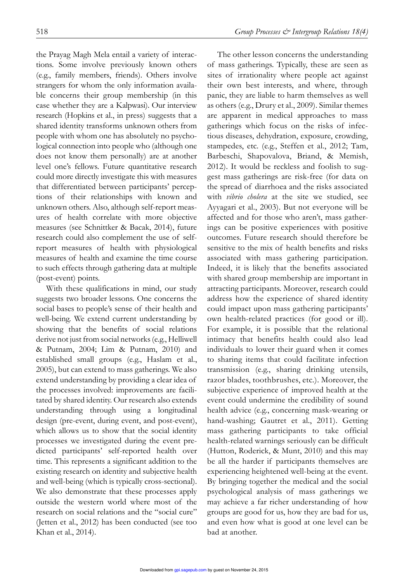the Prayag Magh Mela entail a variety of interactions. Some involve previously known others (e.g., family members, friends). Others involve strangers for whom the only information available concerns their group membership (in this case whether they are a Kalpwasi). Our interview research (Hopkins et al., in press) suggests that a shared identity transforms unknown others from people with whom one has absolutely no psychological connection into people who (although one does not know them personally) are at another level one's fellows. Future quantitative research could more directly investigate this with measures that differentiated between participants' perceptions of their relationships with known and unknown others. Also, although self-report measures of health correlate with more objective measures (see Schnittker & Bacak, 2014), future research could also complement the use of selfreport measures of health with physiological measures of health and examine the time course to such effects through gathering data at multiple (post-event) points.

With these qualifications in mind, our study suggests two broader lessons. One concerns the social bases to people's sense of their health and well-being. We extend current understanding by showing that the benefits of social relations derive not just from social networks (e.g., Helliwell & Putnam, 2004; Lim & Putnam, 2010) and established small groups (e.g., Haslam et al., 2005), but can extend to mass gatherings. We also extend understanding by providing a clear idea of the processes involved: improvements are facilitated by shared identity. Our research also extends understanding through using a longitudinal design (pre-event, during event, and post-event), which allows us to show that the social identity processes we investigated during the event predicted participants' self-reported health over time. This represents a significant addition to the existing research on identity and subjective health and well-being (which is typically cross-sectional). We also demonstrate that these processes apply outside the western world where most of the research on social relations and the "social cure" (Jetten et al., 2012) has been conducted (see too Khan et al., 2014).

The other lesson concerns the understanding of mass gatherings. Typically, these are seen as sites of irrationality where people act against their own best interests, and where, through panic, they are liable to harm themselves as well as others (e.g., Drury et al., 2009). Similar themes are apparent in medical approaches to mass gatherings which focus on the risks of infectious diseases, dehydration, exposure, crowding, stampedes, etc. (e.g., Steffen et al., 2012; Tam, Barbeschi, Shapovalova, Briand, & Memish, 2012). It would be reckless and foolish to suggest mass gatherings are risk-free (for data on the spread of diarrhoea and the risks associated with *vibrio cholera* at the site we studied, see Ayyagari et al., 2003). But not everyone will be affected and for those who aren't, mass gatherings can be positive experiences with positive outcomes. Future research should therefore be sensitive to the mix of health benefits and risks associated with mass gathering participation. Indeed, it is likely that the benefits associated with shared group membership are important in attracting participants. Moreover, research could address how the experience of shared identity could impact upon mass gathering participants' own health-related practices (for good or ill). For example, it is possible that the relational intimacy that benefits health could also lead individuals to lower their guard when it comes to sharing items that could facilitate infection transmission (e.g., sharing drinking utensils, razor blades, toothbrushes, etc.). Moreover, the subjective experience of improved health at the event could undermine the credibility of sound health advice (e.g., concerning mask-wearing or hand-washing; Gautret et al., 2011). Getting mass gathering participants to take official health-related warnings seriously can be difficult (Hutton, Roderick, & Munt, 2010) and this may be all the harder if participants themselves are experiencing heightened well-being at the event. By bringing together the medical and the social psychological analysis of mass gatherings we may achieve a far richer understanding of how groups are good for us, how they are bad for us, and even how what is good at one level can be bad at another.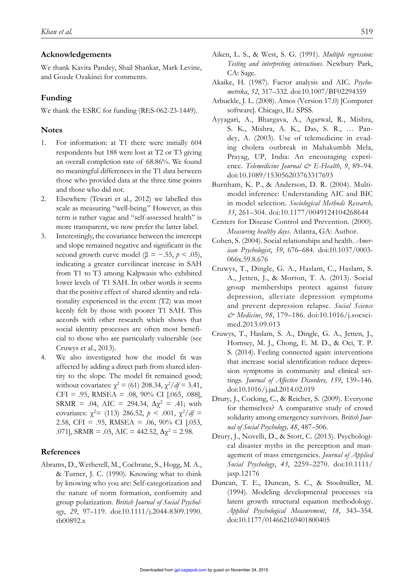#### **Acknowledgements**

We thank Kavita Pandey, Shail Shankar, Mark Levine, and Gozde Ozakinci for comments.

#### **Funding**

We thank the ESRC for funding (RES-062-23-1449).

#### **Notes**

- 1. For information: at T1 there were initially 604 respondents but 188 were lost at T2 or T3 giving an overall completion rate of 68.86%. We found no meaningful differences in the T1 data between those who provided data at the three time points and those who did not.
- 2. Elsewhere (Tewari et al., 2012) we labelled this scale as measuring "well-being." However, as this term is rather vague and "self-assessed health" is more transparent, we now prefer the latter label.
- 3. Interestingly, the covariance between the intercept and slope remained negative and significant in the second growth curve model ( $\beta$  = -.55,  $p$  < .05), indicating a greater curvilinear increase in SAH from T1 to T3 among Kalpwasis who exhibited lower levels of T1 SAH. In other words it seems that the positive effect of shared identity and relationality experienced in the event (T2) was most keenly felt by those with poorer T1 SAH. This accords with other research which shows that social identity processes are often most beneficial to those who are particularly vulnerable (see Cruwys et al., 2013).
- 4. We also investigated how the model fit was affected by adding a direct path from shared identity to the slope. The model fit remained good; without covariates:  $\chi^2 = (61) \ 208.34$ ,  $\chi^2/df = 3.41$ ,  $CFI = .95$ , RMSEA = .08, 90% CI [.065, .088], SRMR = .04, AIC = 294.34,  $\Delta \chi^2$  = .41; with covariates:  $\chi^2$  = (113) 286.52, *p* < .001,  $\chi^2/df$  = 2.58, CFI = .95, RMSEA = .06, 90% CI [.053, .071], SRMR = .05, AIC = 442.52,  $\Delta \chi^2$  = 2.98.

#### **References**

Abrams, D., Wetherell, M., Cochrane, S., Hogg, M. A., & Turner, J. C. (1990). Knowing what to think by knowing who you are: Self-categorization and the nature of norm formation, conformity and group polarization. *British Journal of Social Psychology*, *29*, 97–119. doi:10.1111/j.2044-8309.1990. tb00892.x

- Aiken, L. S., & West, S. G. (1991). *Multiple regression: Testing and interpreting interactions*. Newbury Park, CA: Sage.
- Akaike, H. (1987). Factor analysis and AIC. *Psychometrika*, *52*, 317–332. doi:10.1007/BF02294359
- Arbuckle, J. L. (2008). Amos (Version 17.0) [Computer software]. Chicago, IL: SPSS.
- Ayyagari, A., Bhargava, A., Agarwal, R., Mishra, S. K., Mishra, A. K., Das, S. R., … Pandey, A. (2003). Use of telemedicine in evading cholera outbreak in Mahakumbh Mela, Prayag, UP, India: An encouraging experience. *Telemedicine Journal & E-Health*, *9*, 89–94. doi:10.1089/153056203763317693
- Burnham, K. P., & Anderson, D. R. (2004). Multimodel inference: Understanding AIC and BIC in model selection. *Sociological Methods Research, 33*, 261–304. doi:10.1177/0049124104268644
- Centers for Disease Control and Prevention. (2000). *Measuring healthy days*. Atlanta, GA: Author.
- Cohen, S. (2004). Social relationships and health. *American Psychologist*, *59*, 676–684. doi:10.1037/0003- 066x.59.8.676
- Cruwys, T., Dingle, G. A., Haslam, C., Haslam, S. A., Jetten, J., & Morton, T. A. (2013). Social group memberships protect against future depression, alleviate depression symptoms and prevent depression relapse. *Social Science & Medicine*, *98*, 179–186. doi:10.1016/j.socscimed.2013.09.013
- Cruwys, T., Haslam, S. A., Dingle, G. A., Jetten, J., Hornsey, M. J., Chong, E. M. D., & Oei, T. P. S. (2014). Feeling connected again: interventions that increase social identification reduce depression symptoms in community and clinical settings. *Journal of Affective Disorders, 159*, 139–146. doi:10.1016/j.jad.2014.02.019
- Drury, J., Cocking, C., & Reicher, S. (2009). Everyone for themselves? A comparative study of crowd solidarity among emergency survivors. *British Journal of Social Psychology, 48*, 487–506.
- Drury, J., Novelli, D., & Stott, C. (2013). Psychological disaster myths in the perception and management of mass emergencies. *Journal of Applied Social Psychology*, *43*, 2259–2270. doi:10.1111/ jasp.12176
- Duncan, T. E., Duncan, S. C., & Stoolmiller, M. (1994). Modeling developmental processes via latent growth structural equation methodology. *Applied Psychological Measurement*, *18*, 343–354. doi:10.1177/014662169401800405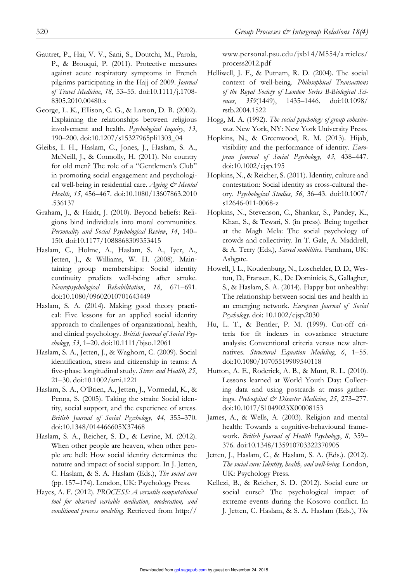- Gautret, P., Hai, V. V., Sani, S., Doutchi, M., Parola, P., & Brouqui, P. (2011). Protective measures against acute respiratory symptoms in French pilgrims participating in the Hajj of 2009. *Journal of Travel Medicine*, *18*, 53–55. doi:10.1111/j.1708- 8305.2010.00480.x
- George, L. K., Ellison, C. G., & Larson, D. B. (2002). Explaining the relationships between religious involvement and health. *Psychological Inquiry*, *13*, 190–200. doi:10.1207/s15327965pli1303\_04
- Gleibs, I. H., Haslam, C., Jones, J., Haslam, S. A., McNeill, J., & Connolly, H. (2011). No country for old men? The role of a "Gentlemen's Club" in promoting social engagement and psychological well-being in residential care. *Ageing & Mental Health*, *15*, 456–467. doi:10.1080/13607863.2010 .536137
- Graham, J., & Haidt, J. (2010). Beyond beliefs: Religions bind individuals into moral communities. *Personality and Social Psychological Review*, *14*, 140– 150. doi:10.1177/1088868309353415
- Haslam, C., Holme, A., Haslam, S. A., Iyer, A., Jetten, J., & Williams, W. H. (2008). Maintaining group memberships: Social identity continuity predicts well-being after stroke. *Neuropsychological Rehabilitation*, *18*, 671–691. doi:10.1080/09602010701643449
- Haslam, S. A. (2014). Making good theory practical: Five lessons for an applied social identity approach to challenges of organizational, health, and clinical psychology. *British Journal of Social Psychology*, *53*, 1–20. doi:10.1111/bjso.12061
- Haslam, S. A., Jetten, J., & Waghorn, C. (2009). Social identification, stress and citizenship in teams: A five-phase longitudinal study. *Stress and Health*, *25*, 21–30. doi:10.1002/smi.1221
- Haslam, S. A., O'Brien, A., Jetten, J., Vormedal, K., & Penna, S. (2005). Taking the strain: Social identity, social support, and the experience of stress. *British Journal of Social Psychology*, *44*, 355–370. doi:10.1348/014466605X37468
- Haslam, S. A., Reicher, S. D., & Levine, M. (2012). When other people are heaven, when other people are hell: How social identity determines the natutre and impact of social support. In J. Jetten, C. Haslam, & S. A. Haslam (Eds.), *The social cure* (pp. 157–174). London, UK: Psychology Press.
- Hayes, A. F. (2012). *PROCESS: A versatile computational tool for observed variable mediation, moderation, and conditional process modeling*. Retrieved from http://

www.personal.psu.edu/jxb14/M554/a rticles/ process2012.pdf

- Helliwell, J. F., & Putnam, R. D. (2004). The social context of well-being. *Philosophical Transactions of the Royal Society of London Series B-Biological Sciences*, *359*(1449), 1435–1446. doi:10.1098/ rstb.2004.1522
- Hogg, M. A. (1992). *The social psychology of group cohesiveness*. New York, NY: New York University Press.
- Hopkins, N., & Greenwood, R. M. (2013). Hijab, visibility and the performance of identity. *European Journal of Social Psychology*, *43*, 438–447. doi:10.1002/ejsp.195
- Hopkins, N., & Reicher, S. (2011). Identity, culture and contestation: Social identity as cross-cultural theory. *Psychological Studies*, *56*, 36–43. doi:10.1007/ s12646-011-0068-z
- Hopkins, N., Stevenson, C., Shankar, S., Pandey, K., Khan, S., & Tewari, S. (in press). Being together at the Magh Mela: The social psychology of crowds and collectivity. In T. Gale, A. Maddrell, & A. Terry (Eds.), *Sacred mobilities*. Farnham, UK: Ashgate.
- Howell, J. L., Koudenburg, N., Loschelder, D. D., Weston, D., Fransen, K., De Dominicis, S., Gallagher, S., & Haslam, S. A. (2014). Happy but unhealthy: The relationship between social ties and health in an emerging network. *European Journal of Social Psychology*. doi: 10.1002/ejsp.2030
- Hu, L. T., & Bentler, P. M. (1999). Cut-off criteria for fit indexes in covariance structure analysis: Conventional criteria versus new alternatives. *Structural Equation Modeling*, *6*, 1–55. doi:10.1080/10705519909540118
- Hutton, A. E., Roderick, A. B., & Munt, R. L. (2010). Lessons learned at World Youth Day: Collecting data and using postcards at mass gatherings. *Prehospital & Disaster Medicine*, *25*, 273–277. doi:10.1017/S1049023X00008153
- James, A., & Wells, A. (2003). Religion and mental health: Towards a cognitive-behavioural framework. *British Journal of Health Psychology*, *8*, 359– 376. doi:10.1348/135910703322370905
- Jetten, J., Haslam, C., & Haslam, S. A. (Eds.). (2012). *The social cure: Identity, health, and well-being*. London, UK: Psychology Press.
- Kellezi, B., & Reicher, S. D. (2012). Social cure or social curse? The psychological impact of extreme events during the Kosovo conflict. In J. Jetten, C. Haslam, & S. A. Haslam (Eds.), *The*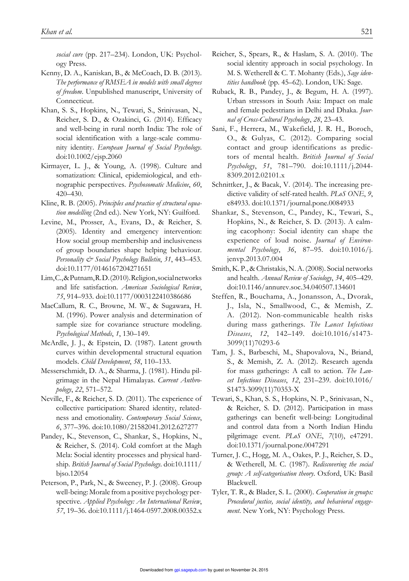*social cure* (pp. 217–234). London, UK: Psychology Press.

- Kenny, D. A., Kaniskan, B., & McCoach, D. B. (2013). *The performance of RMSEA in models with small degrees of freedom*. Unpublished manuscript, University of Connecticut.
- Khan, S. S., Hopkins, N., Tewari, S., Srinivasan, N., Reicher, S. D., & Ozakinci, G. (2014). Efficacy and well-being in rural north India: The role of social identification with a large-scale community identity. *European Journal of Social Psychology*. doi:10.1002/ejsp.2060
- Kirmayer, L. J., & Young, A. (1998). Culture and somatization: Clinical, epidemiological, and ethnographic perspectives. *Psychosomatic Medicine*, *60*, 420–430.
- Kline, R. B. (2005). *Principles and practice of structural equation modelling* (2nd ed.). New York, NY: Guilford.
- Levine, M., Prosser, A., Evans, D., & Reicher, S. (2005). Identity and emergency intervention: How social group membership and inclusiveness of group boundaries shape helping behaviour. *Personality & Social Psychology Bulletin*, *31*, 443–453. doi:10.1177/0146167204271651
- Lim, C., & Putnam, R. D. (2010). Religion, social networks and life satisfaction. *American Sociological Review*, *75*, 914–933. doi:10.1177/0003122410386686
- MacCallum, R. C., Browne, M. W., & Sugawara, H. M. (1996). Power analysis and determination of sample size for covariance structure modeling. *Psychological Methods*, *1*, 130–149.
- McArdle, J. J., & Epstein, D. (1987). Latent growth curves within developmental structural equation models. *Child Development*, *58*, 110–133.
- Messerschmidt, D. A., & Sharma, J. (1981). Hindu pilgrimage in the Nepal Himalayas. *Current Anthropology*, *22*, 571–572.
- Neville, F., & Reicher, S. D. (2011). The experience of collective participation: Shared identity, relatedness and emotionality. *Contemporary Social Science*, *6*, 377–396. doi:10.1080/21582041.2012.627277
- Pandey, K., Stevenson, C., Shankar, S., Hopkins, N., & Reicher, S. (2014). Cold comfort at the Magh Mela: Social identity processes and physical hardship. *British Journal of Social Psychology*. doi:10.1111/ bjso.12054
- Peterson, P., Park, N., & Sweeney, P. J. (2008). Group well-being: Morale from a positive psychology perspective. *Applied Psychology: An International Review*, *57*, 19–36. doi:10.1111/j.1464-0597.2008.00352.x
- Reicher, S., Spears, R., & Haslam, S. A. (2010). The social identity approach in social psychology. In M. S. Wetherell & C. T. Mohanty (Eds.), *Sage identities handbook* (pp. 45–62). London, UK: Sage.
- Ruback, R. B., Pandey, J., & Begum, H. A. (1997). Urban stressors in South Asia: Impact on male and female pedestrians in Delhi and Dhaka. *Journal of Cross-Cultural Psychology*, *28*, 23–43.
- Sani, F., Herrera, M., Wakefield, J. R. H., Boroch, O., & Gulyas, C. (2012). Comparing social contact and group identifications as predictors of mental health. *British Journal of Social Psychology*, *51*, 781–790. doi:10.1111/j.2044- 8309.2012.02101.x
- Schnittker, J., & Bacak, V. (2014). The increasing predictive validity of self-rated health. *PLoS ONE*, *9*, e84933. doi:10.1371/journal.pone.0084933
- Shankar, S., Stevenson, C., Pandey, K., Tewari, S., Hopkins, N., & Reicher, S. D. (2013). A calming cacophony: Social identity can shape the experience of loud noise. *Journal of Environmental Psychology*, *36*, 87–95. doi:10.1016/j. jenvp.2013.07.004
- Smith, K. P., & Christakis, N. A. (2008). Social networks and health. *Annual Review of Sociology*, *34*, 405–429. doi:10.1146/annurev.soc.34.040507.134601
- Steffen, R., Bouchama, A., Jonansson, A., Dvorak, J., Isla, N., Smallwood, C., & Memish, Z. A. (2012). Non-communicable health risks during mass gatherings. *The Lancet Infectious Diseases*, *12*, 142–149. doi:10.1016/s1473- 3099(11)70293-6
- Tam, J. S., Barbeschi, M., Shapovalova, N., Briand, S., & Memish, Z. A. (2012). Research agenda for mass gatherings: A call to action. *The Lancet Infectious Diseases*, *12*, 231–239. doi:10.1016/ S1473-3099(11)70353-X
- Tewari, S., Khan, S. S., Hopkins, N. P., Srinivasan, N., & Reicher, S. D. (2012). Participation in mass gatherings can benefit well-being: Longitudinal and control data from a North Indian Hindu pilgrimage event. *PLoS ONE*, *7*(10), e47291. doi:10.1371/journal.pone.0047291
- Turner, J. C., Hogg, M. A., Oakes, P. J., Reicher, S. D., & Wetherell, M. C. (1987). *Rediscovering the social group: A self-categorisation theory*. Oxford, UK: Basil Blackwell.
- Tyler, T. R., & Blader, S. L. (2000). *Cooperation in groups: Procedural justice, social identity, and behavioral engagement*. New York, NY: Psychology Press.